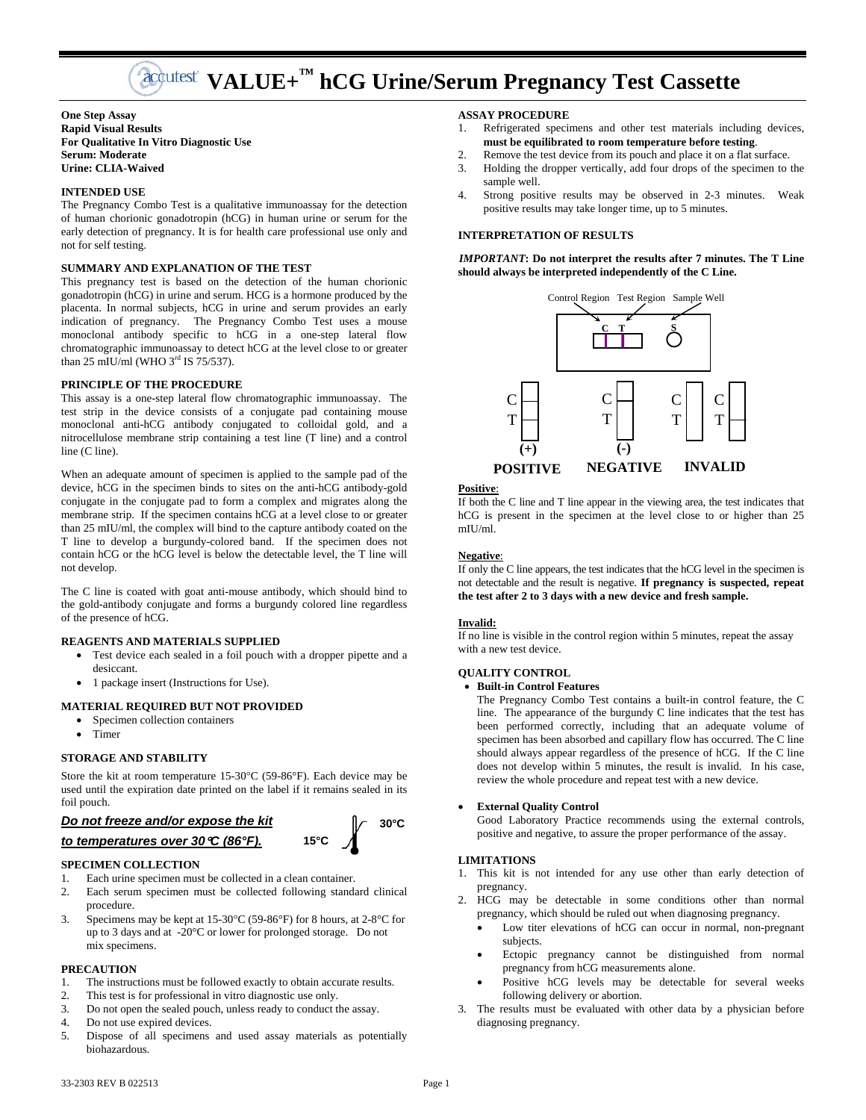# **Acquitiest** VALUE+<sup>™</sup> hCG Urine/Serum Pregnancy Test Cassette

**One Step Assay Rapid Visual Results For Qualitative In Vitro Diagnostic Use Serum: Moderate Urine: CLIA-Waived** 

# **INTENDED USE**

The Pregnancy Combo Test is a qualitative immunoassay for the detection of human chorionic gonadotropin (hCG) in human urine or serum for the early detection of pregnancy. It is for health care professional use only and not for self testing.

# **SUMMARY AND EXPLANATION OF THE TEST**

This pregnancy test is based on the detection of the human chorionic gonadotropin (hCG) in urine and serum. HCG is a hormone produced by the placenta. In normal subjects, hCG in urine and serum provides an early indication of pregnancy. The Pregnancy Combo Test uses a mouse monoclonal antibody specific to hCG in a one-step lateral flow chromatographic immunoassay to detect hCG at the level close to or greater than 25 mIU/ml (WHO  $3<sup>rd</sup>$  IS 75/537).

# **PRINCIPLE OF THE PROCEDURE**

This assay is a one-step lateral flow chromatographic immunoassay. The test strip in the device consists of a conjugate pad containing mouse monoclonal anti-hCG antibody conjugated to colloidal gold, and a nitrocellulose membrane strip containing a test line (T line) and a control line (C line).

When an adequate amount of specimen is applied to the sample pad of the device, hCG in the specimen binds to sites on the anti-hCG antibody-gold conjugate in the conjugate pad to form a complex and migrates along the membrane strip. If the specimen contains hCG at a level close to or greater than 25 mIU/ml, the complex will bind to the capture antibody coated on the T line to develop a burgundy-colored band. If the specimen does not contain hCG or the hCG level is below the detectable level, the T line will not develop.

The C line is coated with goat anti-mouse antibody, which should bind to the gold-antibody conjugate and forms a burgundy colored line regardless of the presence of hCG.

# **REAGENTS AND MATERIALS SUPPLIED**

- Test device each sealed in a foil pouch with a dropper pipette and a desiccant.
- 1 package insert (Instructions for Use).

# **MATERIAL REQUIRED BUT NOT PROVIDED**

- Specimen collection containers
- Timer

#### **STORAGE AND STABILITY**

Store the kit at room temperature 15-30°C (59-86°F). Each device may be used until the expiration date printed on the label if it remains sealed in its foil pouch.

# *Do not freeze and/or expose the kit*

# *to temperatures over 30C (86°F).*

# **SPECIMEN COLLECTION**

- 1. Each urine specimen must be collected in a clean container.
- 2. Each serum specimen must be collected following standard clinical procedure.
- 3. Specimens may be kept at  $15\text{-}30^{\circ}\text{C}$  (59-86°F) for 8 hours, at  $2\text{-}8^{\circ}\text{C}$  for up to 3 days and at -20°C or lower for prolonged storage. Do not mix specimens.

# **PRECAUTION**

- 1. The instructions must be followed exactly to obtain accurate results.
- 2. This test is for professional in vitro diagnostic use only.
- 3. Do not open the sealed pouch, unless ready to conduct the assay.
- 4. Do not use expired devices.
- 5. Dispose of all specimens and used assay materials as potentially biohazardous.

# **ASSAY PROCEDURE**

- 1. Refrigerated specimens and other test materials including devices, **must be equilibrated to room temperature before testing**.
- 2. Remove the test device from its pouch and place it on a flat surface.
- 3. Holding the dropper vertically, add four drops of the specimen to the sample well.
- 4. Strong positive results may be observed in 2-3 minutes. Weak positive results may take longer time, up to 5 minutes.

## **INTERPRETATION OF RESULTS**

*IMPORTANT***: Do not interpret the results after 7 minutes. The T Line should always be interpreted independently of the C Line.**



#### **Positive**:

If both the C line and T line appear in the viewing area, the test indicates that hCG is present in the specimen at the level close to or higher than 25 mIU/ml.

#### **Negative**:

If only the C line appears, the test indicates that the hCG level in the specimen is not detectable and the result is negative. **If pregnancy is suspected, repeat the test after 2 to 3 days with a new device and fresh sample.**

#### **Invalid:**

If no line is visible in the control region within 5 minutes, repeat the assay with a new test device.

#### **QUALITY CONTROL**

# **Built-in Control Features**

The Pregnancy Combo Test contains a built-in control feature, the C line. The appearance of the burgundy C line indicates that the test has been performed correctly, including that an adequate volume of specimen has been absorbed and capillary flow has occurred. The C line should always appear regardless of the presence of hCG. If the C line does not develop within 5 minutes, the result is invalid. In his case, review the whole procedure and repeat test with a new device.

## **External Quality Control**

Good Laboratory Practice recommends using the external controls, positive and negative, to assure the proper performance of the assay.

# **LIMITATIONS**

- 1. This kit is not intended for any use other than early detection of pregnancy.
- 2. HCG may be detectable in some conditions other than normal pregnancy, which should be ruled out when diagnosing pregnancy.
	- Low titer elevations of hCG can occur in normal, non-pregnant subjects.
	- Ectopic pregnancy cannot be distinguished from normal pregnancy from hCG measurements alone.
	- Positive hCG levels may be detectable for several weeks following delivery or abortion.
- 3. The results must be evaluated with other data by a physician before diagnosing pregnancy.

**30°C** 

**15°C**